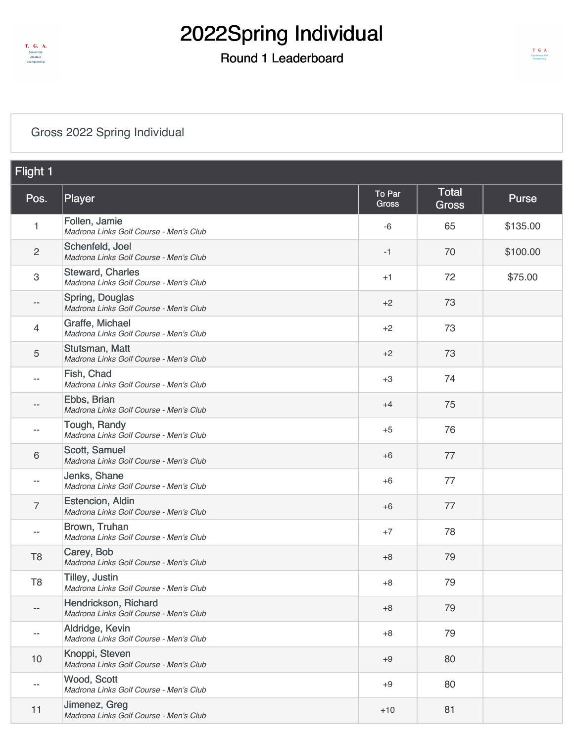

### Round 1 Leaderboard

#### [Gross 2022 Spring Individual](https://static.golfgenius.com/v2tournaments/8497153159565682209?called_from=&round_index=1)

| <b>Flight 1</b>           |                                                                   |                        |                              |              |
|---------------------------|-------------------------------------------------------------------|------------------------|------------------------------|--------------|
| Pos.                      | Player                                                            | <b>To Par</b><br>Gross | <b>Total</b><br><b>Gross</b> | <b>Purse</b> |
| 1                         | Follen, Jamie<br>Madrona Links Golf Course - Men's Club           | $-6$                   | 65                           | \$135.00     |
| $\overline{2}$            | Schenfeld, Joel<br>Madrona Links Golf Course - Men's Club         | $-1$                   | 70                           | \$100.00     |
| $\ensuremath{\mathsf{3}}$ | <b>Steward, Charles</b><br>Madrona Links Golf Course - Men's Club | $+1$                   | 72                           | \$75.00      |
| --                        | Spring, Douglas<br>Madrona Links Golf Course - Men's Club         | $+2$                   | 73                           |              |
| 4                         | Graffe, Michael<br>Madrona Links Golf Course - Men's Club         | $+2$                   | 73                           |              |
| 5                         | Stutsman, Matt<br>Madrona Links Golf Course - Men's Club          | $+2$                   | 73                           |              |
| $-$                       | Fish, Chad<br>Madrona Links Golf Course - Men's Club              | $+3$                   | 74                           |              |
| --                        | Ebbs, Brian<br>Madrona Links Golf Course - Men's Club             | $+4$                   | 75                           |              |
|                           | Tough, Randy<br>Madrona Links Golf Course - Men's Club            | $+5$                   | 76                           |              |
| 6                         | Scott, Samuel<br>Madrona Links Golf Course - Men's Club           | $+6$                   | 77                           |              |
| $-$                       | Jenks, Shane<br>Madrona Links Golf Course - Men's Club            | $+6$                   | 77                           |              |
| $\overline{7}$            | Estencion, Aldin<br>Madrona Links Golf Course - Men's Club        | $+6$                   | 77                           |              |
|                           | Brown, Truhan<br>Madrona Links Golf Course - Men's Club           | $+7$                   | 78                           |              |
| T <sub>8</sub>            | Carey, Bob<br>Madrona Links Golf Course - Men's Club              | $+8$                   | 79                           |              |
| T <sub>8</sub>            | Tilley, Justin<br>Madrona Links Golf Course - Men's Club          | $+8$                   | 79                           |              |
| $-$                       | Hendrickson, Richard<br>Madrona Links Golf Course - Men's Club    | $+8$                   | 79                           |              |
| $\overline{\phantom{m}}$  | Aldridge, Kevin<br>Madrona Links Golf Course - Men's Club         | $+8$                   | 79                           |              |
| 10                        | Knoppi, Steven<br>Madrona Links Golf Course - Men's Club          | $+9$                   | 80                           |              |
| --                        | Wood, Scott<br>Madrona Links Golf Course - Men's Club             | $+9$                   | 80                           |              |
| 11                        | Jimenez, Greg<br>Madrona Links Golf Course - Men's Club           | $+10$                  | 81                           |              |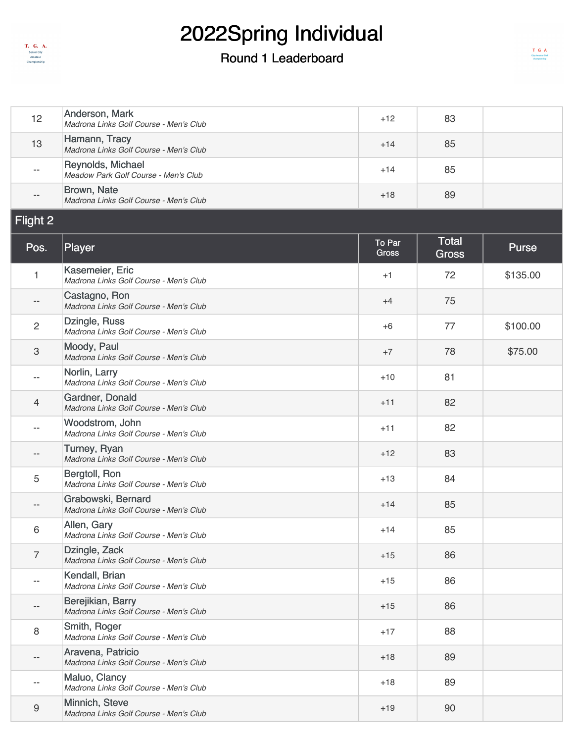

| 12                       | Anderson, Mark<br>Madrona Links Golf Course - Men's Club     | $+12$                  | 83                           |              |
|--------------------------|--------------------------------------------------------------|------------------------|------------------------------|--------------|
| 13                       | Hamann, Tracy<br>Madrona Links Golf Course - Men's Club      | $+14$                  | 85                           |              |
| $-$                      | Reynolds, Michael<br>Meadow Park Golf Course - Men's Club    | $+14$                  | 85                           |              |
|                          | Brown, Nate<br>Madrona Links Golf Course - Men's Club        | $+18$                  | 89                           |              |
| Flight 2                 |                                                              |                        |                              |              |
| Pos.                     | Player                                                       | To Par<br><b>Gross</b> | <b>Total</b><br><b>Gross</b> | <b>Purse</b> |
| 1                        | Kasemeier, Eric<br>Madrona Links Golf Course - Men's Club    | $+1$                   | 72                           | \$135.00     |
| $ -$                     | Castagno, Ron<br>Madrona Links Golf Course - Men's Club      | $+4$                   | 75                           |              |
| $\overline{c}$           | Dzingle, Russ<br>Madrona Links Golf Course - Men's Club      | $+6$                   | 77                           | \$100.00     |
| 3                        | Moody, Paul<br>Madrona Links Golf Course - Men's Club        | $+7$                   | 78                           | \$75.00      |
| --                       | Norlin, Larry<br>Madrona Links Golf Course - Men's Club      | $+10$                  | 81                           |              |
| $\overline{4}$           | Gardner, Donald<br>Madrona Links Golf Course - Men's Club    | $+11$                  | 82                           |              |
| $\overline{\phantom{m}}$ | Woodstrom, John<br>Madrona Links Golf Course - Men's Club    | $+11$                  | 82                           |              |
| $- -$                    | Turney, Ryan<br>Madrona Links Golf Course - Men's Club       | $+12$                  | 83                           |              |
| 5                        | Bergtoll, Ron<br>Madrona Links Golf Course - Men's Club      | $+13$                  | 84                           |              |
| $- -$                    | Grabowski, Bernard<br>Madrona Links Golf Course - Men's Club | $+14$                  | 85                           |              |
| 6                        | Allen, Gary<br>Madrona Links Golf Course - Men's Club        | $+14$                  | 85                           |              |
| $\overline{7}$           | Dzingle, Zack<br>Madrona Links Golf Course - Men's Club      | $+15$                  | 86                           |              |
| --                       | Kendall, Brian<br>Madrona Links Golf Course - Men's Club     | $+15$                  | 86                           |              |
| --                       | Berejikian, Barry<br>Madrona Links Golf Course - Men's Club  | $+15$                  | 86                           |              |
| 8                        | Smith, Roger<br>Madrona Links Golf Course - Men's Club       | $+17$                  | 88                           |              |
| $- -$                    | Aravena, Patricio<br>Madrona Links Golf Course - Men's Club  | $+18$                  | 89                           |              |
| --                       | Maluo, Clancy<br>Madrona Links Golf Course - Men's Club      | $+18$                  | 89                           |              |
| 9                        | Minnich, Steve<br>Madrona Links Golf Course - Men's Club     | $+19$                  | 90                           |              |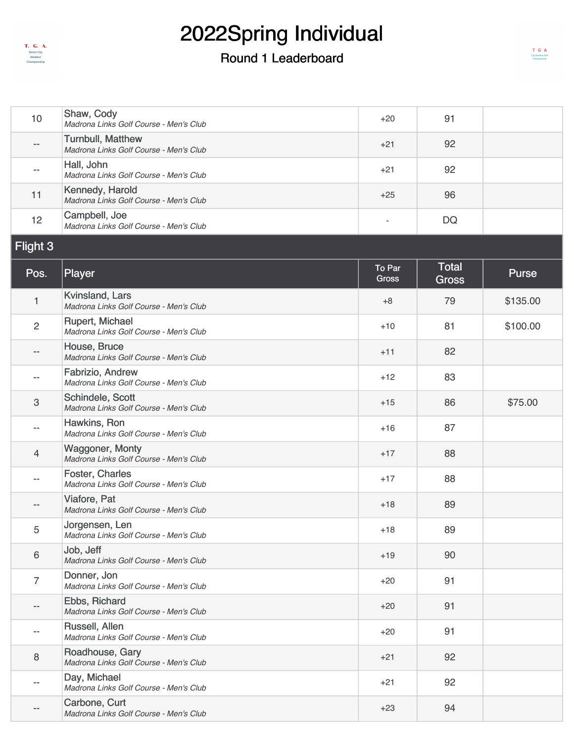

| 10                        | Shaw, Cody<br>Madrona Links Golf Course - Men's Club               | $+20$                    | 91                           |              |
|---------------------------|--------------------------------------------------------------------|--------------------------|------------------------------|--------------|
|                           | <b>Turnbull, Matthew</b><br>Madrona Links Golf Course - Men's Club | $+21$                    | 92                           |              |
| $\overline{a}$            | Hall, John<br>Madrona Links Golf Course - Men's Club               | $+21$                    | 92                           |              |
| 11                        | Kennedy, Harold<br>Madrona Links Golf Course - Men's Club          | $+25$                    | 96                           |              |
| 12                        | Campbell, Joe<br>Madrona Links Golf Course - Men's Club            | $\overline{\phantom{a}}$ | <b>DQ</b>                    |              |
| Flight 3                  |                                                                    |                          |                              |              |
| Pos.                      | Player                                                             | To Par<br><b>Gross</b>   | <b>Total</b><br><b>Gross</b> | <b>Purse</b> |
| 1                         | Kvinsland, Lars<br>Madrona Links Golf Course - Men's Club          | $+8$                     | 79                           | \$135.00     |
| $\sqrt{2}$                | <b>Rupert, Michael</b><br>Madrona Links Golf Course - Men's Club   | $+10$                    | 81                           | \$100.00     |
|                           | House, Bruce<br>Madrona Links Golf Course - Men's Club             | $+11$                    | 82                           |              |
| --                        | Fabrizio, Andrew<br>Madrona Links Golf Course - Men's Club         | $+12$                    | 83                           |              |
| $\ensuremath{\mathsf{3}}$ | Schindele, Scott<br>Madrona Links Golf Course - Men's Club         | $+15$                    | 86                           | \$75.00      |
| --                        | Hawkins, Ron<br>Madrona Links Golf Course - Men's Club             | $+16$                    | 87                           |              |
| 4                         | <b>Waggoner, Monty</b><br>Madrona Links Golf Course - Men's Club   | $+17$                    | 88                           |              |
| --                        | Foster, Charles<br>Madrona Links Golf Course - Men's Club          | $+17$                    | 88                           |              |
| --                        | Viafore, Pat<br>Madrona Links Golf Course - Men's Club             | $+18$                    | 89                           |              |
| 5                         | Jorgensen, Len<br>Madrona Links Golf Course - Men's Club           | $+18$                    | 89                           |              |
| $\,6$                     | Job, Jeff<br>Madrona Links Golf Course - Men's Club                | $+19$                    | 90                           |              |
| $\overline{7}$            | Donner, Jon<br>Madrona Links Golf Course - Men's Club              | $+20$                    | 91                           |              |
| $- -$                     | Ebbs, Richard<br>Madrona Links Golf Course - Men's Club            | $+20$                    | 91                           |              |
| $-\,-$                    | Russell, Allen<br>Madrona Links Golf Course - Men's Club           | $+20$                    | 91                           |              |
| $\, 8$                    | Roadhouse, Gary<br>Madrona Links Golf Course - Men's Club          | $+21$                    | 92                           |              |
| --                        | Day, Michael<br>Madrona Links Golf Course - Men's Club             | $+21$                    | 92                           |              |
| --                        | Carbone, Curt<br>Madrona Links Golf Course - Men's Club            | $+23$                    | 94                           |              |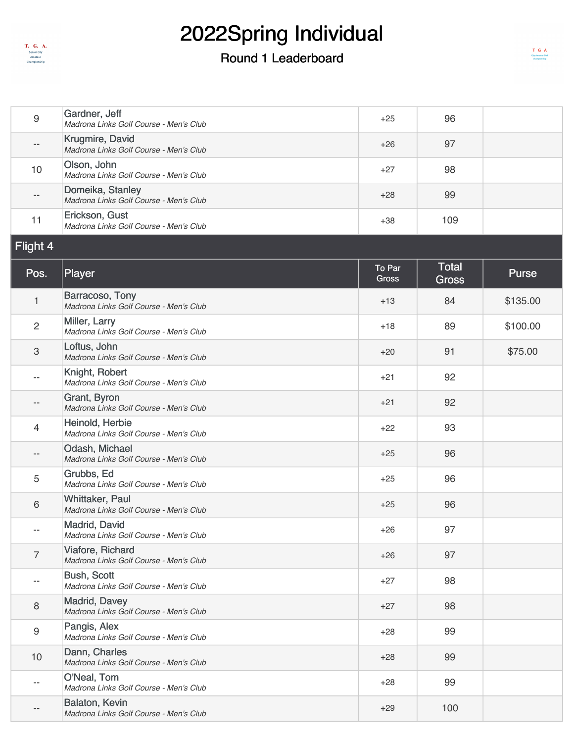

### Round 1 Leaderboard

| $9\,$                     | Gardner, Jeff<br>Madrona Links Golf Course - Men's Club          | $+25$                  | 96                           |              |
|---------------------------|------------------------------------------------------------------|------------------------|------------------------------|--------------|
| --                        | Krugmire, David<br>Madrona Links Golf Course - Men's Club        | $+26$                  | 97                           |              |
| 10                        | Olson, John<br>Madrona Links Golf Course - Men's Club            | $+27$                  | 98                           |              |
| $-\, -$                   | Domeika, Stanley<br>Madrona Links Golf Course - Men's Club       | $+28$                  | 99                           |              |
| 11                        | Erickson, Gust<br>Madrona Links Golf Course - Men's Club         | $+38$                  | 109                          |              |
| Flight 4                  |                                                                  |                        |                              |              |
| Pos.                      | Player                                                           | To Par<br><b>Gross</b> | <b>Total</b><br><b>Gross</b> | <b>Purse</b> |
| 1                         | Barracoso, Tony<br>Madrona Links Golf Course - Men's Club        | $+13$                  | 84                           | \$135.00     |
| $\overline{2}$            | Miller, Larry<br>Madrona Links Golf Course - Men's Club          | $+18$                  | 89                           | \$100.00     |
| $\ensuremath{\mathsf{3}}$ | Loftus, John<br>Madrona Links Golf Course - Men's Club           | $+20$                  | 91                           | \$75.00      |
| --                        | Knight, Robert<br>Madrona Links Golf Course - Men's Club         | $+21$                  | 92                           |              |
| --                        | Grant, Byron<br>Madrona Links Golf Course - Men's Club           | $+21$                  | 92                           |              |
| 4                         | Heinold, Herbie<br>Madrona Links Golf Course - Men's Club        | $+22$                  | 93                           |              |
|                           | Odash, Michael<br>Madrona Links Golf Course - Men's Club         | $+25$                  | 96                           |              |
| 5                         | Grubbs, Ed<br>Madrona Links Golf Course - Men's Club             | $+25$                  | 96                           |              |
| $\,6$                     | <b>Whittaker, Paul</b><br>Madrona Links Golf Course - Men's Club | $+25$                  | 96                           |              |
| $-\,-$                    | Madrid, David<br>Madrona Links Golf Course - Men's Club          | $+26$                  | 97                           |              |
| $\overline{7}$            | Viafore, Richard<br>Madrona Links Golf Course - Men's Club       | $+26$                  | 97                           |              |
| $-\,-$                    | <b>Bush, Scott</b><br>Madrona Links Golf Course - Men's Club     | $+27$                  | 98                           |              |
| 8                         | <b>Madrid, Davey</b><br>Madrona Links Golf Course - Men's Club   | $+27$                  | 98                           |              |
| $\boldsymbol{9}$          | Pangis, Alex<br>Madrona Links Golf Course - Men's Club           | $+28$                  | 99                           |              |
| 10                        | Dann, Charles<br>Madrona Links Golf Course - Men's Club          | $+28$                  | 99                           |              |
| $-$                       | O'Neal, Tom<br>Madrona Links Golf Course - Men's Club            | $+28$                  | 99                           |              |
| $-\,-$                    | Balaton, Kevin<br>Madrona Links Golf Course - Men's Club         | $+29$                  | 100                          |              |

 $\begin{array}{cc} T & G & A \\ \textcolor{red}{\text{Chy}}\textcolor{red}{\text{femine-Def}} \\ \textcolor{red}{\text{Cay}}\textcolor{red}{\text{femine-Def}} \end{array}$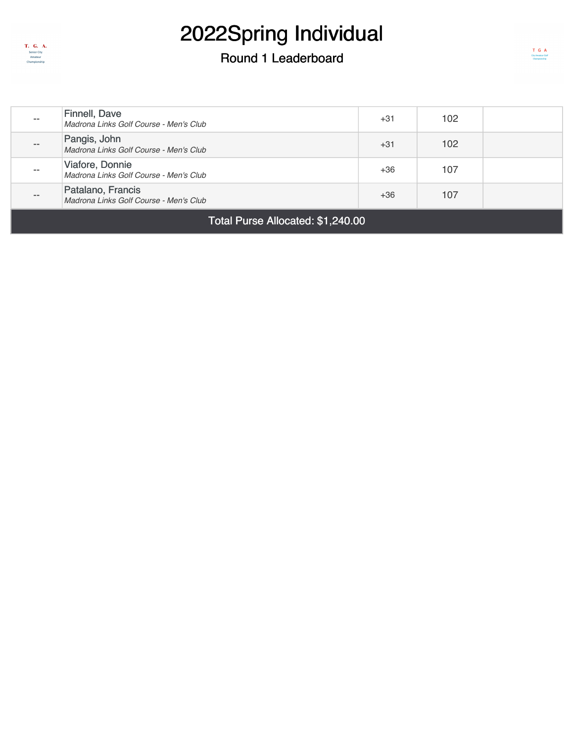

| $- -$                             | Finnell, Dave<br>Madrona Links Golf Course - Men's Club     | +31   | 102 |  |
|-----------------------------------|-------------------------------------------------------------|-------|-----|--|
| $- -$                             | Pangis, John<br>Madrona Links Golf Course - Men's Club      | $+31$ | 102 |  |
| $- -$                             | Viafore, Donnie<br>Madrona Links Golf Course - Men's Club   | $+36$ | 107 |  |
| $- -$                             | Patalano, Francis<br>Madrona Links Golf Course - Men's Club | $+36$ | 107 |  |
| Total Purse Allocated: \$1,240.00 |                                                             |       |     |  |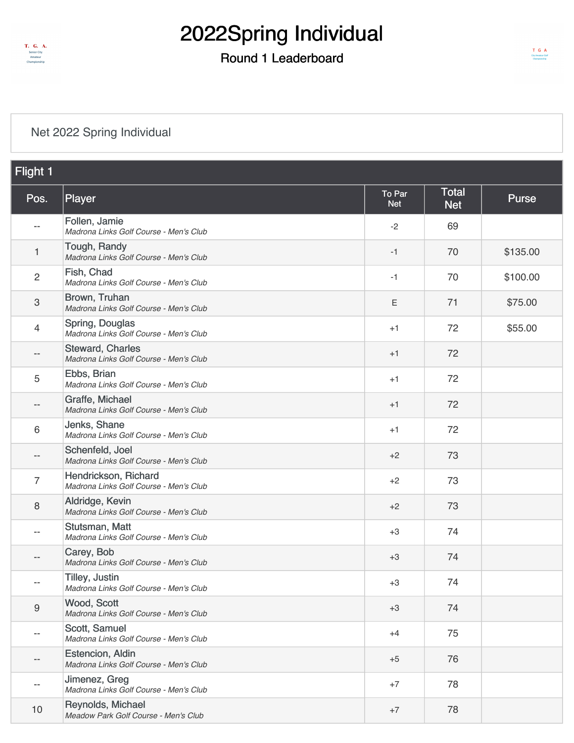

### Round 1 Leaderboard

#### [Net 2022 Spring Individual](https://static.golfgenius.com/v2tournaments/8497153163122452002?called_from=&round_index=1)

| Flight 1          |                                                                 |                      |                            |          |
|-------------------|-----------------------------------------------------------------|----------------------|----------------------------|----------|
| Pos.              | Player                                                          | To Par<br><b>Net</b> | <b>Total</b><br><b>Net</b> | Purse    |
| --                | Follen, Jamie<br>Madrona Links Golf Course - Men's Club         | $-2$                 | 69                         |          |
| 1                 | Tough, Randy<br>Madrona Links Golf Course - Men's Club          | -1                   | 70                         | \$135.00 |
| $\overline{2}$    | Fish, Chad<br>Madrona Links Golf Course - Men's Club            | -1                   | 70                         | \$100.00 |
| 3                 | Brown, Truhan<br>Madrona Links Golf Course - Men's Club         | Ε                    | 71                         | \$75.00  |
| 4                 | Spring, Douglas<br>Madrona Links Golf Course - Men's Club       | $+1$                 | 72                         | \$55.00  |
| --                | Steward, Charles<br>Madrona Links Golf Course - Men's Club      | $+1$                 | 72                         |          |
| 5                 | Ebbs, Brian<br>Madrona Links Golf Course - Men's Club           | $+1$                 | 72                         |          |
| --                | Graffe, Michael<br>Madrona Links Golf Course - Men's Club       | $+1$                 | 72                         |          |
| 6                 | Jenks, Shane<br>Madrona Links Golf Course - Men's Club          | $+1$                 | 72                         |          |
| --                | Schenfeld, Joel<br>Madrona Links Golf Course - Men's Club       | $+2$                 | 73                         |          |
| $\overline{7}$    | Hendrickson, Richard<br>Madrona Links Golf Course - Men's Club  | $+2$                 | 73                         |          |
| 8                 | Aldridge, Kevin<br>Madrona Links Golf Course - Men's Club       | $+2$                 | 73                         |          |
|                   | Stutsman, Matt<br>Madrona Links Golf Course - Men's Club        | $+3$                 | 74                         |          |
| $- -$             | Carey, Bob<br>Madrona Links Golf Course - Men's Club            | $+3$                 | 74                         |          |
| --                | <b>Tilley, Justin</b><br>Madrona Links Golf Course - Men's Club | $+3$                 | 74                         |          |
| 9                 | Wood, Scott<br>Madrona Links Golf Course - Men's Club           | $+3$                 | 74                         |          |
| --                | Scott, Samuel<br>Madrona Links Golf Course - Men's Club         | $+4$                 | 75                         |          |
| $\qquad \qquad -$ | Estencion, Aldin<br>Madrona Links Golf Course - Men's Club      | $+5$                 | 76                         |          |
| $-$               | Jimenez, Greg<br>Madrona Links Golf Course - Men's Club         | $+7$                 | 78                         |          |
| 10                | Reynolds, Michael<br>Meadow Park Golf Course - Men's Club       | $+7$                 | 78                         |          |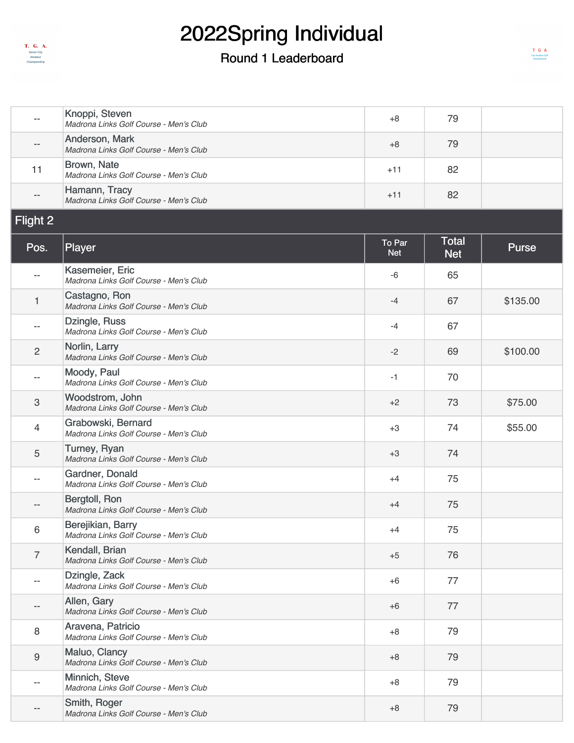

| $\overline{\phantom{m}}$  | Knoppi, Steven<br>Madrona Links Golf Course - Men's Club     | $+8$                 | 79                         |              |
|---------------------------|--------------------------------------------------------------|----------------------|----------------------------|--------------|
| --                        | Anderson, Mark<br>Madrona Links Golf Course - Men's Club     | $+8$                 | 79                         |              |
| 11                        | Brown, Nate<br>Madrona Links Golf Course - Men's Club        | $+11$                | 82                         |              |
|                           | Hamann, Tracy<br>Madrona Links Golf Course - Men's Club      | $+11$                | 82                         |              |
| <b>Flight 2</b>           |                                                              |                      |                            |              |
| Pos.                      | Player                                                       | To Par<br><b>Net</b> | <b>Total</b><br><b>Net</b> | <b>Purse</b> |
| $\overline{\phantom{a}}$  | Kasemeier, Eric<br>Madrona Links Golf Course - Men's Club    | -6                   | 65                         |              |
| $\mathbf{1}$              | Castagno, Ron<br>Madrona Links Golf Course - Men's Club      | $-4$                 | 67                         | \$135.00     |
| $\overline{\phantom{m}}$  | Dzingle, Russ<br>Madrona Links Golf Course - Men's Club      | $-4$                 | 67                         |              |
| $\overline{2}$            | Norlin, Larry<br>Madrona Links Golf Course - Men's Club      | $-2$                 | 69                         | \$100.00     |
| $-\, -$                   | Moody, Paul<br>Madrona Links Golf Course - Men's Club        | $-1$                 | 70                         |              |
| $\ensuremath{\mathsf{3}}$ | Woodstrom, John<br>Madrona Links Golf Course - Men's Club    | $+2$                 | 73                         | \$75.00      |
| $\overline{4}$            | Grabowski, Bernard<br>Madrona Links Golf Course - Men's Club | $+3$                 | 74                         | \$55.00      |
| 5                         | Turney, Ryan<br>Madrona Links Golf Course - Men's Club       | $+3$                 | 74                         |              |
| --                        | Gardner, Donald<br>Madrona Links Golf Course - Men's Club    | $+4$                 | 75                         |              |
| --                        | Bergtoll, Ron<br>Madrona Links Golf Course - Men's Club      | $+4$                 | 75                         |              |
| 6                         | Berejikian, Barry<br>Madrona Links Golf Course - Men's Club  | $+4$                 | 75                         |              |
| $\overline{7}$            | Kendall, Brian<br>Madrona Links Golf Course - Men's Club     | $+5$                 | 76                         |              |
| $-$                       | Dzingle, Zack<br>Madrona Links Golf Course - Men's Club      | $+6$                 | 77                         |              |
| --                        | Allen, Gary<br>Madrona Links Golf Course - Men's Club        | $+6$                 | 77                         |              |
| $\,8\,$                   | Aravena, Patricio<br>Madrona Links Golf Course - Men's Club  | $+8$                 | 79                         |              |
| $\boldsymbol{9}$          | Maluo, Clancy<br>Madrona Links Golf Course - Men's Club      | $+8$                 | 79                         |              |
| --                        | Minnich, Steve<br>Madrona Links Golf Course - Men's Club     | $+8$                 | 79                         |              |
| --                        | Smith, Roger<br>Madrona Links Golf Course - Men's Club       | $+8$                 | 79                         |              |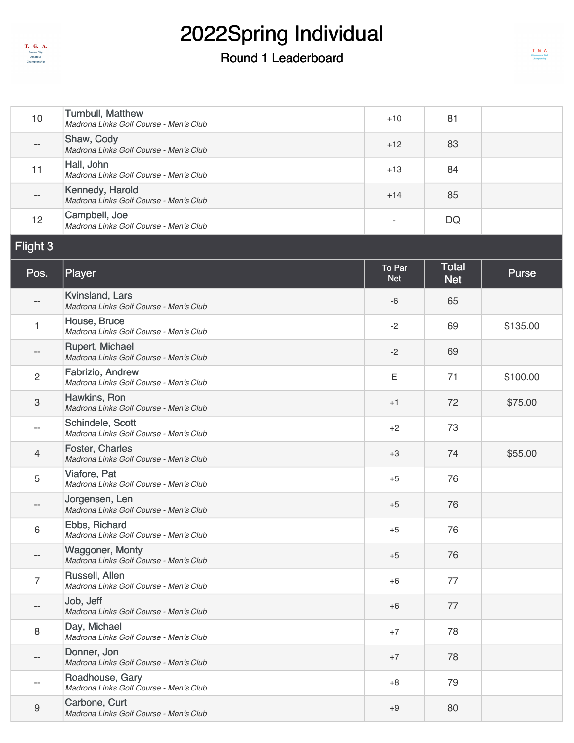

#### Round 1 Leaderboard

 $\begin{array}{cc}\nT & G & A \\
\text{Cry-temperature God} & \text{Onmpicostip}\n\end{array}$ 

| 10                        | <b>Turnbull, Matthew</b><br>Madrona Links Golf Course - Men's Club | $+10$                | 81                         |              |
|---------------------------|--------------------------------------------------------------------|----------------------|----------------------------|--------------|
| $\overline{\phantom{a}}$  | Shaw, Cody<br>Madrona Links Golf Course - Men's Club               | $+12$                | 83                         |              |
| 11                        | Hall, John<br>Madrona Links Golf Course - Men's Club               | $+13$                | 84                         |              |
| --                        | Kennedy, Harold<br>Madrona Links Golf Course - Men's Club          | $+14$                | 85                         |              |
| 12                        | Campbell, Joe<br>Madrona Links Golf Course - Men's Club            |                      | DQ                         |              |
| Flight 3                  |                                                                    |                      |                            |              |
| Pos.                      | Player                                                             | To Par<br><b>Net</b> | <b>Total</b><br><b>Net</b> | <b>Purse</b> |
| $-\,-$                    | Kvinsland, Lars<br>Madrona Links Golf Course - Men's Club          | -6                   | 65                         |              |
| 1                         | House, Bruce<br>Madrona Links Golf Course - Men's Club             | $-2$                 | 69                         | \$135.00     |
| $\qquad \qquad -$         | Rupert, Michael<br>Madrona Links Golf Course - Men's Club          | $-2$                 | 69                         |              |
| $\sqrt{2}$                | Fabrizio, Andrew<br>Madrona Links Golf Course - Men's Club         | E                    | 71                         | \$100.00     |
| $\ensuremath{\mathsf{3}}$ | Hawkins, Ron<br>Madrona Links Golf Course - Men's Club             | $+1$                 | 72                         | \$75.00      |
| $-$                       | Schindele, Scott<br>Madrona Links Golf Course - Men's Club         | $+2$                 | 73                         |              |
| $\overline{4}$            | Foster, Charles<br>Madrona Links Golf Course - Men's Club          | $+3$                 | 74                         | \$55.00      |
| 5                         | Viafore, Pat<br>Madrona Links Golf Course - Men's Club             | $+5$                 | 76                         |              |
| $-$                       | Jorgensen, Len<br>Madrona Links Golf Course - Men's Club           | $+5$                 | 76                         |              |
| 6                         | Ebbs, Richard<br>Madrona Links Golf Course - Men's Club            | $+5$                 | 76                         |              |
| --                        | <b>Waggoner, Monty</b><br>Madrona Links Golf Course - Men's Club   | $+5$                 | 76                         |              |
| $\overline{7}$            | Russell, Allen<br>Madrona Links Golf Course - Men's Club           | $+6$                 | 77                         |              |
| $\qquad \qquad -$         | Job, Jeff<br>Madrona Links Golf Course - Men's Club                | $+6$                 | 77                         |              |
| 8                         | Day, Michael<br>Madrona Links Golf Course - Men's Club             | $+7$                 | 78                         |              |
| $\overline{\phantom{a}}$  | Donner, Jon<br>Madrona Links Golf Course - Men's Club              | $+7$                 | 78                         |              |
| $-$                       | Roadhouse, Gary<br>Madrona Links Golf Course - Men's Club          | $+8$                 | 79                         |              |
| 9                         | Carbone, Curt<br>Madrona Links Golf Course - Men's Club            | $+9$                 | 80                         |              |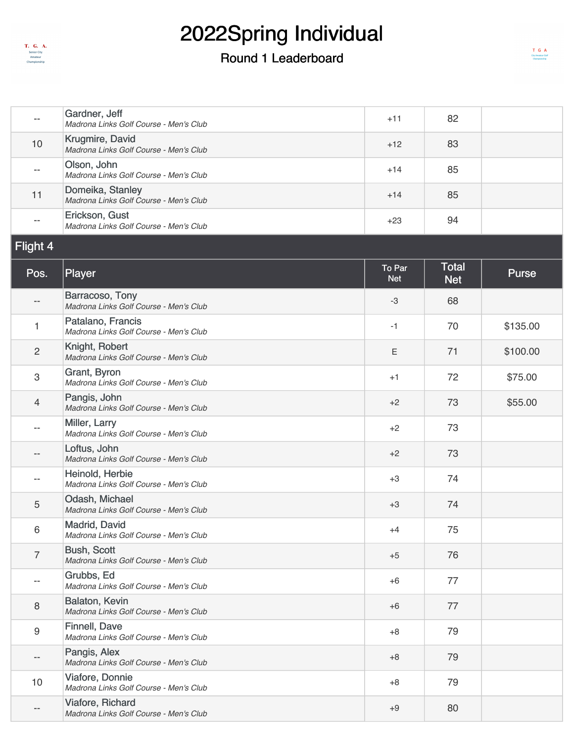

| --                       | Gardner, Jeff<br>Madrona Links Golf Course - Men's Club      | $+11$                | 82                         |              |
|--------------------------|--------------------------------------------------------------|----------------------|----------------------------|--------------|
| 10                       | Krugmire, David<br>Madrona Links Golf Course - Men's Club    | $+12$                | 83                         |              |
| $\overline{\phantom{a}}$ | Olson, John<br>Madrona Links Golf Course - Men's Club        | $+14$                | 85                         |              |
| 11                       | Domeika, Stanley<br>Madrona Links Golf Course - Men's Club   | $+14$                | 85                         |              |
| $ \!-$                   | Erickson, Gust<br>Madrona Links Golf Course - Men's Club     | $+23$                | 94                         |              |
| Flight 4                 |                                                              |                      |                            |              |
| Pos.                     | Player                                                       | To Par<br><b>Net</b> | <b>Total</b><br><b>Net</b> | <b>Purse</b> |
| --                       | Barracoso, Tony<br>Madrona Links Golf Course - Men's Club    | $-3$                 | 68                         |              |
| 1                        | Patalano, Francis<br>Madrona Links Golf Course - Men's Club  | $-1$                 | 70                         | \$135.00     |
| $\overline{c}$           | Knight, Robert<br>Madrona Links Golf Course - Men's Club     | Ε                    | 71                         | \$100.00     |
| 3                        | Grant, Byron<br>Madrona Links Golf Course - Men's Club       | $+1$                 | 72                         | \$75.00      |
| 4                        | Pangis, John<br>Madrona Links Golf Course - Men's Club       | $+2$                 | 73                         | \$55.00      |
| $-$                      | Miller, Larry<br>Madrona Links Golf Course - Men's Club      | $+2$                 | 73                         |              |
| --                       | Loftus, John<br>Madrona Links Golf Course - Men's Club       | $+2$                 | 73                         |              |
| --                       | Heinold, Herbie<br>Madrona Links Golf Course - Men's Club    | $+3$                 | 74                         |              |
| 5                        | Odash, Michael<br>Madrona Links Golf Course - Men's Club     | $+3$                 | 74                         |              |
| 6                        | Madrid, David<br>Madrona Links Golf Course - Men's Club      | $+4$                 | 75                         |              |
| $\overline{7}$           | <b>Bush, Scott</b><br>Madrona Links Golf Course - Men's Club | $+5$                 | 76                         |              |
| $\overline{\phantom{a}}$ | Grubbs, Ed<br>Madrona Links Golf Course - Men's Club         | $+6$                 | 77                         |              |
| 8                        | Balaton, Kevin<br>Madrona Links Golf Course - Men's Club     | $+6$                 | 77                         |              |
| $\boldsymbol{9}$         | Finnell, Dave<br>Madrona Links Golf Course - Men's Club      | $+8$                 | 79                         |              |
| --                       | Pangis, Alex<br>Madrona Links Golf Course - Men's Club       | $+8$                 | 79                         |              |
| 10                       | Viafore, Donnie<br>Madrona Links Golf Course - Men's Club    | $+8$                 | 79                         |              |
| --                       | Viafore, Richard<br>Madrona Links Golf Course - Men's Club   | $+9$                 | 80                         |              |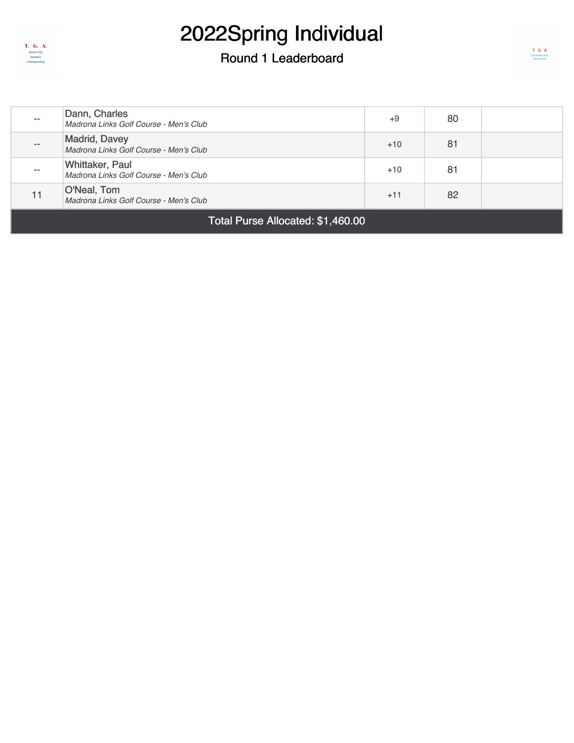

| Total Purse Allocated: \$1,460.00 |                                                                  |       |    |  |
|-----------------------------------|------------------------------------------------------------------|-------|----|--|
|                                   | O'Neal, Tom<br>Madrona Links Golf Course - Men's Club            | $+11$ | 82 |  |
| $- -$                             | <b>Whittaker, Paul</b><br>Madrona Links Golf Course - Men's Club | $+10$ | 81 |  |
| $\qquad \qquad -$                 | <b>Madrid, Davey</b><br>Madrona Links Golf Course - Men's Club   | $+10$ | 81 |  |
| $- -$                             | Dann, Charles<br>Madrona Links Golf Course - Men's Club          | $+9$  | 80 |  |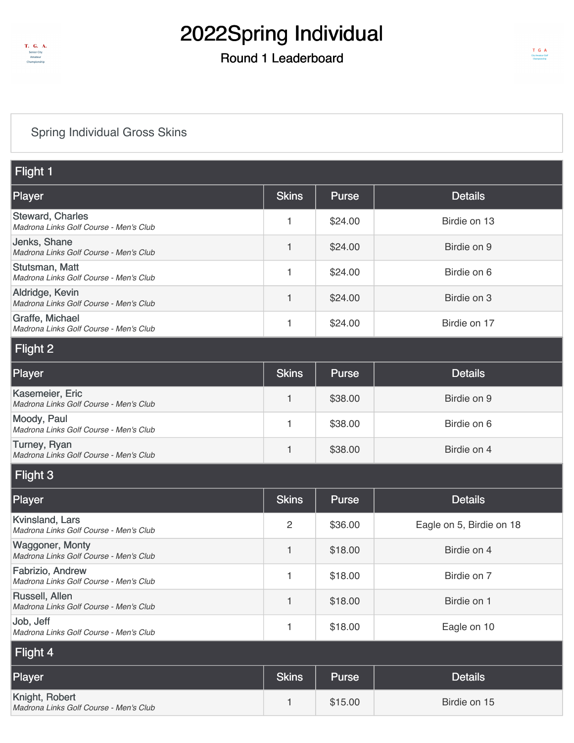

### Round 1 Leaderboard

### [Spring Individual Gross Skins](https://static.golfgenius.com/v2tournaments/8498058241278748209?called_from=&round_index=1)

| Flight 1                                                          |                |              |                          |
|-------------------------------------------------------------------|----------------|--------------|--------------------------|
| Player                                                            | <b>Skins</b>   | <b>Purse</b> | <b>Details</b>           |
| <b>Steward, Charles</b><br>Madrona Links Golf Course - Men's Club | 1              | \$24.00      | Birdie on 13             |
| Jenks, Shane<br>Madrona Links Golf Course - Men's Club            | 1              | \$24.00      | Birdie on 9              |
| Stutsman, Matt<br>Madrona Links Golf Course - Men's Club          | 1              | \$24.00      | Birdie on 6              |
| Aldridge, Kevin<br>Madrona Links Golf Course - Men's Club         | 1              | \$24.00      | Birdie on 3              |
| Graffe, Michael<br>Madrona Links Golf Course - Men's Club         | 1              | \$24.00      | Birdie on 17             |
| Flight 2                                                          |                |              |                          |
| Player                                                            | <b>Skins</b>   | <b>Purse</b> | <b>Details</b>           |
| Kasemeier, Eric<br>Madrona Links Golf Course - Men's Club         | 1              | \$38.00      | Birdie on 9              |
| Moody, Paul<br>Madrona Links Golf Course - Men's Club             | 1              | \$38.00      | Birdie on 6              |
| Turney, Ryan<br>Madrona Links Golf Course - Men's Club            | 1              | \$38.00      | Birdie on 4              |
| Flight 3                                                          |                |              |                          |
| Player                                                            | <b>Skins</b>   | <b>Purse</b> | <b>Details</b>           |
| Kvinsland, Lars<br>Madrona Links Golf Course - Men's Club         | $\overline{2}$ | \$36.00      | Eagle on 5, Birdie on 18 |
| <b>Waggoner, Monty</b><br>Madrona Links Golf Course - Men's Club  | 1              | \$18.00      | Birdie on 4              |
| Fabrizio, Andrew<br>Madrona Links Golf Course - Men's Club        | 1              | \$18.00      | Birdie on 7              |
| Russell, Allen<br>Madrona Links Golf Course - Men's Club          | 1              | \$18.00      | Birdie on 1              |
| Job, Jeff<br>Madrona Links Golf Course - Men's Club               | 1              | \$18.00      | Eagle on 10              |
| Flight 4                                                          |                |              |                          |
| Player                                                            | <b>Skins</b>   | <b>Purse</b> | <b>Details</b>           |
| Knight, Robert<br>Madrona Links Golf Course - Men's Club          | 1              | \$15.00      | Birdie on 15             |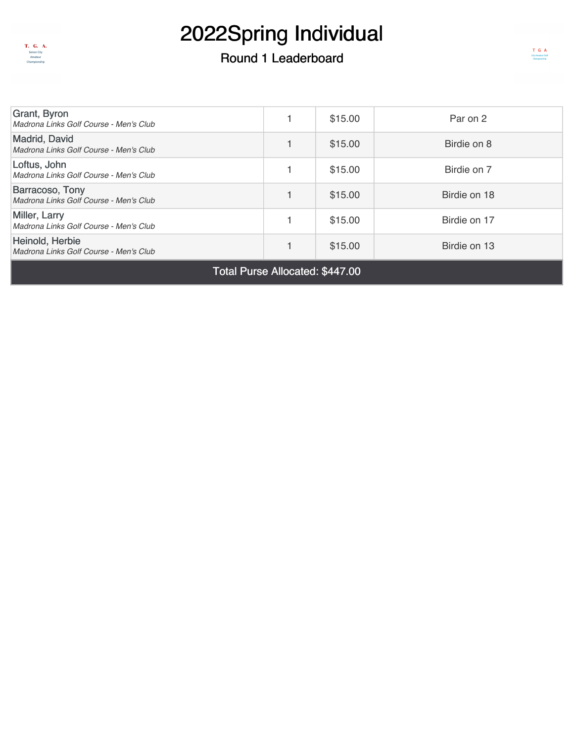

### Round 1 Leaderboard

 $\begin{array}{cc}\nT & G & A \\
\text{Chy Amntau Gal} \\
\text{Champiscatip}\n\end{array}$ 

| Total Purse Allocated: \$447.00                           |  |         |              |  |  |
|-----------------------------------------------------------|--|---------|--------------|--|--|
| Heinold, Herbie<br>Madrona Links Golf Course - Men's Club |  | \$15.00 | Birdie on 13 |  |  |
| Miller, Larry<br>Madrona Links Golf Course - Men's Club   |  | \$15.00 | Birdie on 17 |  |  |
| Barracoso, Tony<br>Madrona Links Golf Course - Men's Club |  | \$15.00 | Birdie on 18 |  |  |
| Loftus, John<br>Madrona Links Golf Course - Men's Club    |  | \$15.00 | Birdie on 7  |  |  |
| Madrid, David<br>Madrona Links Golf Course - Men's Club   |  | \$15.00 | Birdie on 8  |  |  |
| Grant, Byron<br>Madrona Links Golf Course - Men's Club    |  | \$15.00 | Par on 2     |  |  |
|                                                           |  |         |              |  |  |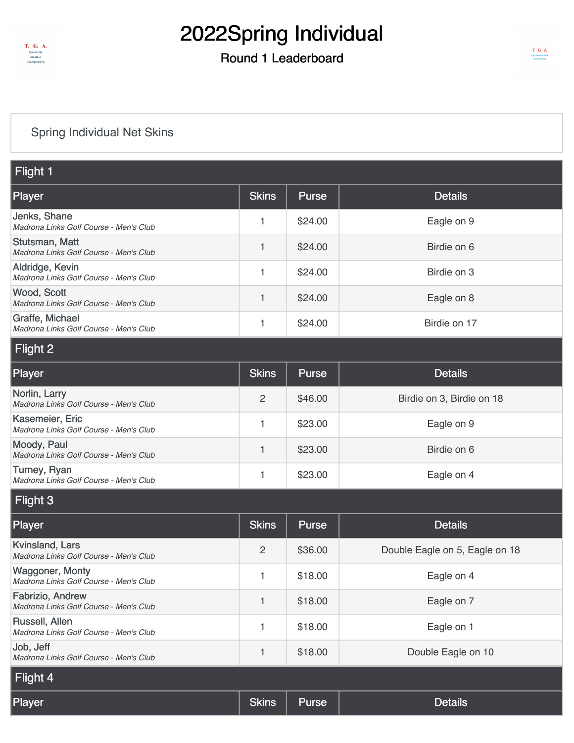

### Round 1 Leaderboard

#### [Spring Individual Net Skins](https://static.golfgenius.com/v2tournaments/8498061712853837362?called_from=&round_index=1)

| Flight 1                                                         |                |              |                                |  |
|------------------------------------------------------------------|----------------|--------------|--------------------------------|--|
| Player                                                           | <b>Skins</b>   | <b>Purse</b> | <b>Details</b>                 |  |
| Jenks, Shane<br>Madrona Links Golf Course - Men's Club           | 1              | \$24.00      | Eagle on 9                     |  |
| Stutsman, Matt<br>Madrona Links Golf Course - Men's Club         | 1.             | \$24.00      | Birdie on 6                    |  |
| Aldridge, Kevin<br>Madrona Links Golf Course - Men's Club        | 1              | \$24.00      | Birdie on 3                    |  |
| Wood, Scott<br>Madrona Links Golf Course - Men's Club            | 1              | \$24.00      | Eagle on 8                     |  |
| Graffe, Michael<br>Madrona Links Golf Course - Men's Club        | 1              | \$24.00      | Birdie on 17                   |  |
| Flight 2                                                         |                |              |                                |  |
| <b>Player</b>                                                    | <b>Skins</b>   | <b>Purse</b> | <b>Details</b>                 |  |
| Norlin, Larry<br>Madrona Links Golf Course - Men's Club          | $\overline{2}$ | \$46.00      | Birdie on 3, Birdie on 18      |  |
| Kasemeier, Eric<br>Madrona Links Golf Course - Men's Club        | 1              | \$23.00      | Eagle on 9                     |  |
| Moody, Paul<br>Madrona Links Golf Course - Men's Club            | 1              | \$23.00      | Birdie on 6                    |  |
| Turney, Ryan<br>Madrona Links Golf Course - Men's Club           | 1              | \$23.00      | Eagle on 4                     |  |
| Flight 3                                                         |                |              |                                |  |
| <b>Player</b>                                                    | <b>Skins</b>   | Purse        | <b>Details</b>                 |  |
| Kvinsland, Lars<br>Madrona Links Golf Course - Men's Club        | $\overline{2}$ | \$36.00      | Double Eagle on 5, Eagle on 18 |  |
| <b>Waggoner, Monty</b><br>Madrona Links Golf Course - Men's Club | 1              | \$18.00      | Eagle on 4                     |  |
| Fabrizio, Andrew<br>Madrona Links Golf Course - Men's Club       | 1              | \$18.00      | Eagle on 7                     |  |
| Russell, Allen<br>Madrona Links Golf Course - Men's Club         | 1              | \$18.00      | Eagle on 1                     |  |
| Job, Jeff<br>Madrona Links Golf Course - Men's Club              | 1              | \$18.00      | Double Eagle on 10             |  |
| Flight 4                                                         |                |              |                                |  |
| <b>Player</b>                                                    | <b>Skins</b>   | Purse        | <b>Details</b>                 |  |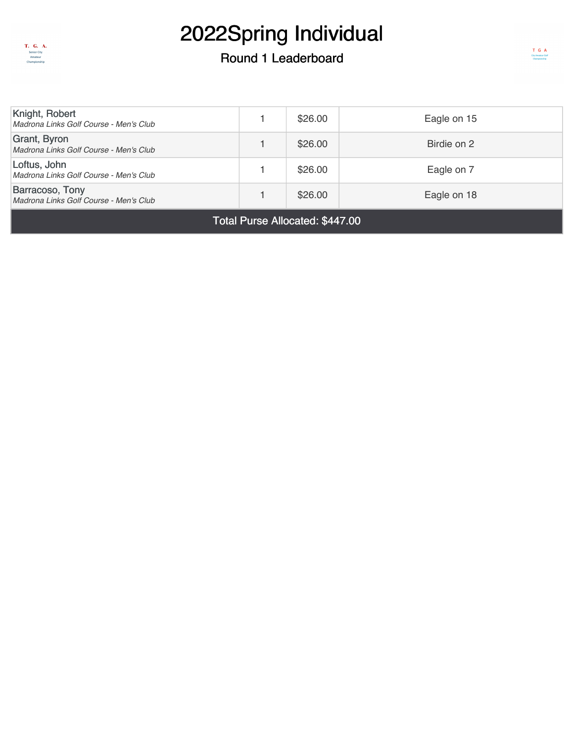

#### Round 1 Leaderboard

| Knight, Robert<br>Madrona Links Golf Course - Men's Club         |  | \$26.00 | Eagle on 15 |  |
|------------------------------------------------------------------|--|---------|-------------|--|
| Grant, Byron<br>Madrona Links Golf Course - Men's Club           |  | \$26.00 | Birdie on 2 |  |
| Loftus, John<br>Madrona Links Golf Course - Men's Club           |  | \$26.00 | Eagle on 7  |  |
| <b>Barracoso, Tony</b><br>Madrona Links Golf Course - Men's Club |  | \$26.00 | Eagle on 18 |  |
|                                                                  |  |         |             |  |

Total Purse Allocated: \$447.00